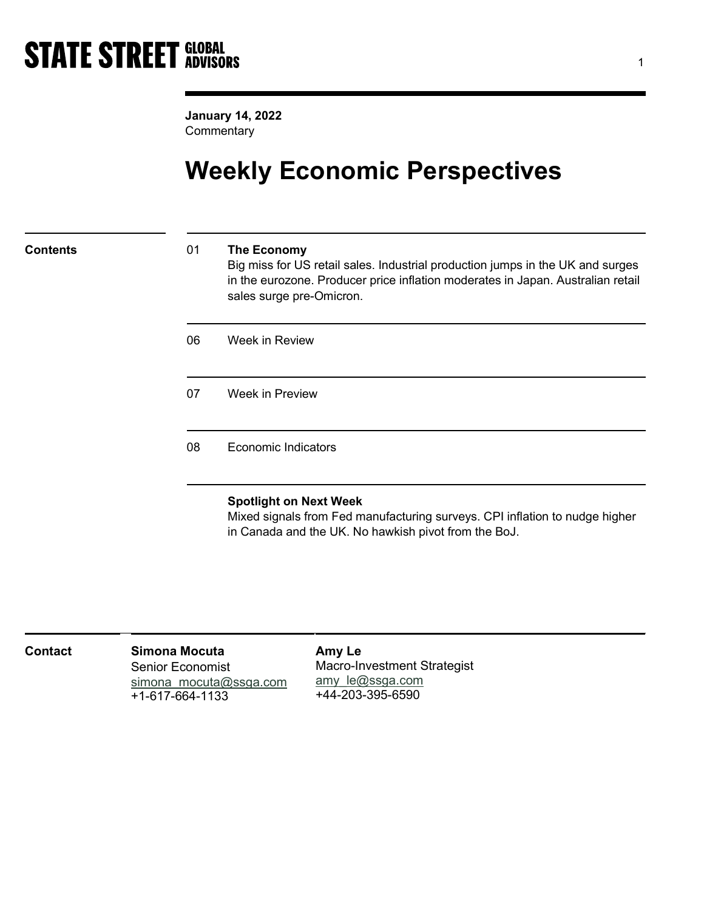January 14, 2022 **Commentary** 

## Weekly Economic Perspectives

### Contents 01 The Economy

Big miss for US retail sales. Industrial production jumps in the UK and surges in the eurozone. Producer price inflation moderates in Japan. Australian retail sales surge pre-Omicron.

| 06 | Week in Review  |
|----|-----------------|
| 07 | Week in Preview |
|    |                 |

08 Economic Indicators

### Spotlight on Next Week

Mixed signals from Fed manufacturing surveys. CPI inflation to nudge higher in Canada and the UK. No hawkish pivot from the BoJ.

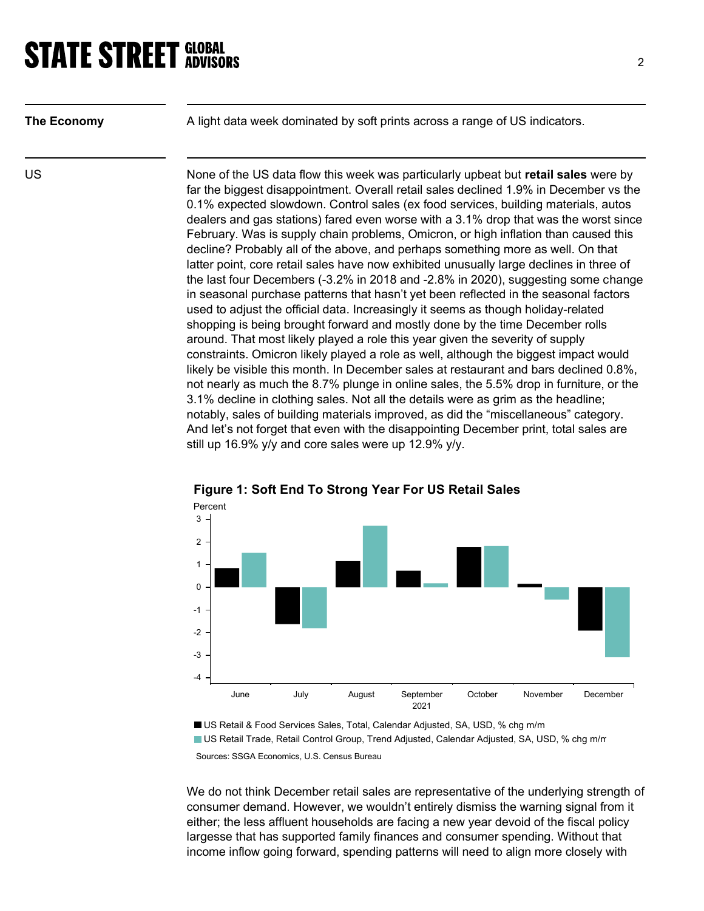| <b>The Economy</b> |  |
|--------------------|--|

A light data week dominated by soft prints across a range of US indicators.

US US None of the US data flow this week was particularly upbeat but retail sales were by far the biggest disappointment. Overall retail sales declined 1.9% in December vs the 0.1% expected slowdown. Control sales (ex food services, building materials, autos dealers and gas stations) fared even worse with a 3.1% drop that was the worst since February. Was is supply chain problems, Omicron, or high inflation than caused this decline? Probably all of the above, and perhaps something more as well. On that latter point, core retail sales have now exhibited unusually large declines in three of the last four Decembers (-3.2% in 2018 and -2.8% in 2020), suggesting some change in seasonal purchase patterns that hasn't yet been reflected in the seasonal factors used to adjust the official data. Increasingly it seems as though holiday-related shopping is being brought forward and mostly done by the time December rolls around. That most likely played a role this year given the severity of supply constraints. Omicron likely played a role as well, although the biggest impact would likely be visible this month. In December sales at restaurant and bars declined 0.8%, not nearly as much the 8.7% plunge in online sales, the 5.5% drop in furniture, or the 3.1% decline in clothing sales. Not all the details were as grim as the headline; notably, sales of building materials improved, as did the "miscellaneous" category. And let's not forget that even with the disappointing December print, total sales are still up 16.9% y/y and core sales were up 12.9% y/y.



## Figure 1: Soft End To Strong Year For US Retail Sales

US Retail & Food Services Sales, Total, Calendar Adjusted, SA, USD, % chg m/m US Retail Trade, Retail Control Group, Trend Adjusted, Calendar Adjusted, SA, USD, % chg m/m Sources: SSGA Economics, U.S. Census Bureau

We do not think December retail sales are representative of the underlying strength of consumer demand. However, we wouldn't entirely dismiss the warning signal from it either; the less affluent households are facing a new year devoid of the fiscal policy largesse that has supported family finances and consumer spending. Without that income inflow going forward, spending patterns will need to align more closely with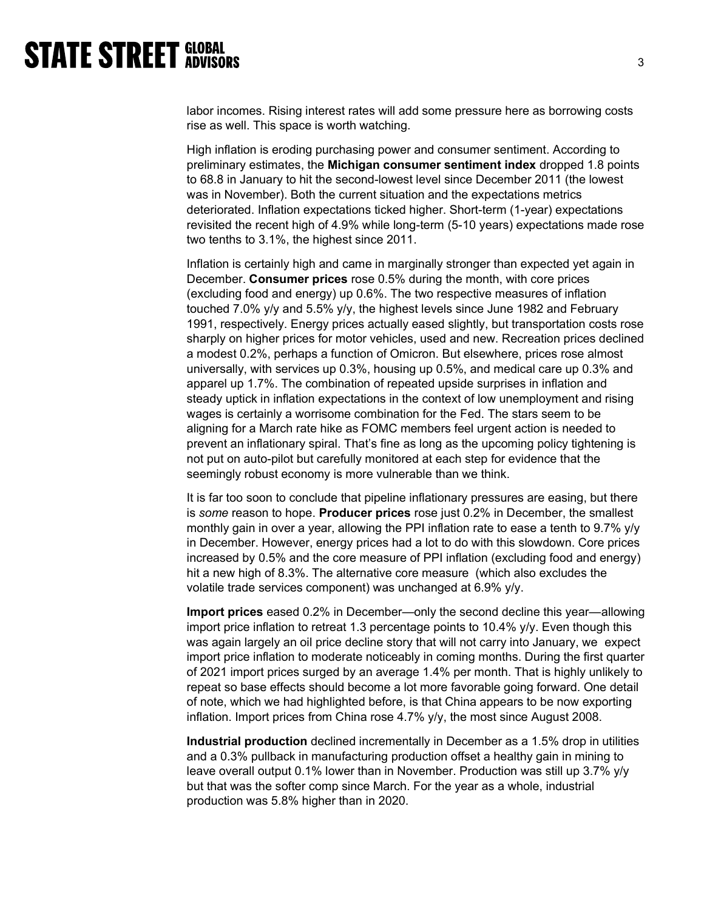labor incomes. Rising interest rates will add some pressure here as borrowing costs rise as well. This space is worth watching.

High inflation is eroding purchasing power and consumer sentiment. According to preliminary estimates, the Michigan consumer sentiment index dropped 1.8 points to 68.8 in January to hit the second-lowest level since December 2011 (the lowest was in November). Both the current situation and the expectations metrics deteriorated. Inflation expectations ticked higher. Short-term (1-year) expectations revisited the recent high of 4.9% while long-term (5-10 years) expectations made rose two tenths to 3.1%, the highest since 2011.

Inflation is certainly high and came in marginally stronger than expected yet again in December. Consumer prices rose 0.5% during the month, with core prices (excluding food and energy) up 0.6%. The two respective measures of inflation touched 7.0% y/y and 5.5% y/y, the highest levels since June 1982 and February 1991, respectively. Energy prices actually eased slightly, but transportation costs rose sharply on higher prices for motor vehicles, used and new. Recreation prices declined a modest 0.2%, perhaps a function of Omicron. But elsewhere, prices rose almost universally, with services up 0.3%, housing up 0.5%, and medical care up 0.3% and apparel up 1.7%. The combination of repeated upside surprises in inflation and steady uptick in inflation expectations in the context of low unemployment and rising wages is certainly a worrisome combination for the Fed. The stars seem to be aligning for a March rate hike as FOMC members feel urgent action is needed to prevent an inflationary spiral. That's fine as long as the upcoming policy tightening is not put on auto-pilot but carefully monitored at each step for evidence that the seemingly robust economy is more vulnerable than we think.

It is far too soon to conclude that pipeline inflationary pressures are easing, but there is some reason to hope. Producer prices rose just 0.2% in December, the smallest monthly gain in over a year, allowing the PPI inflation rate to ease a tenth to 9.7% y/y in December. However, energy prices had a lot to do with this slowdown. Core prices increased by 0.5% and the core measure of PPI inflation (excluding food and energy) hit a new high of 8.3%. The alternative core measure (which also excludes the volatile trade services component) was unchanged at 6.9% y/y.

Import prices eased 0.2% in December—only the second decline this year—allowing import price inflation to retreat 1.3 percentage points to 10.4% y/y. Even though this was again largely an oil price decline story that will not carry into January, we expect import price inflation to moderate noticeably in coming months. During the first quarter of 2021 import prices surged by an average 1.4% per month. That is highly unlikely to repeat so base effects should become a lot more favorable going forward. One detail of note, which we had highlighted before, is that China appears to be now exporting inflation. Import prices from China rose 4.7% y/y, the most since August 2008.

Industrial production declined incrementally in December as a 1.5% drop in utilities and a 0.3% pullback in manufacturing production offset a healthy gain in mining to leave overall output 0.1% lower than in November. Production was still up 3.7% y/y but that was the softer comp since March. For the year as a whole, industrial production was 5.8% higher than in 2020.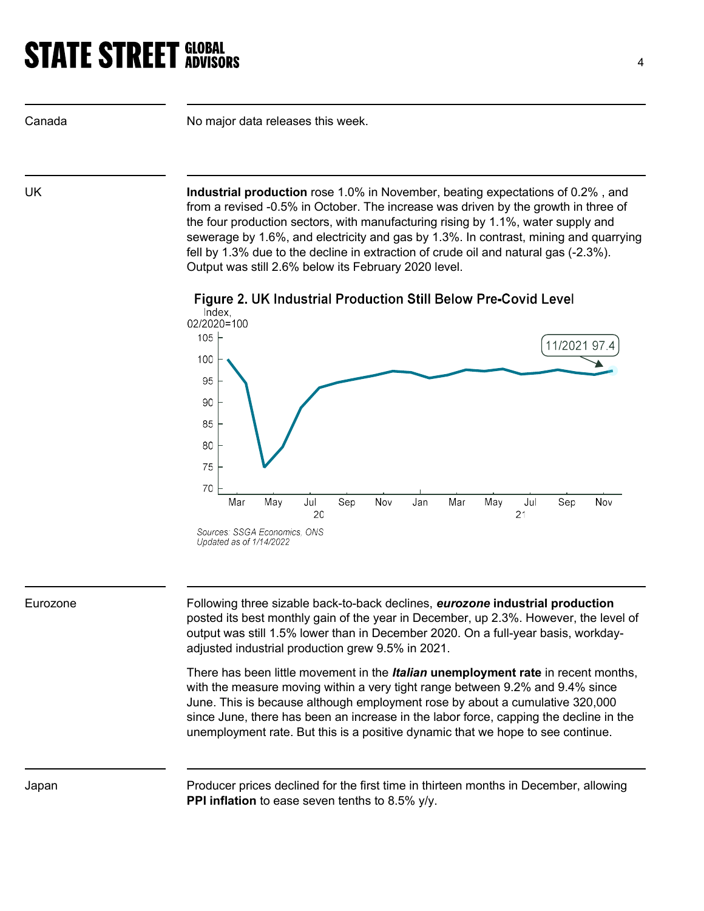Canada **No major data releases this week.** 

UK **Industrial production** rose 1.0% in November, beating expectations of 0.2%, and from a revised -0.5% in October. The increase was driven by the growth in three of the four production sectors, with manufacturing rising by 1.1%, water supply and sewerage by 1.6%, and electricity and gas by 1.3%. In contrast, mining and quarrying fell by 1.3% due to the decline in extraction of crude oil and natural gas (-2.3%). Output was still 2.6% below its February 2020 level.





Eurozone **Following three sizable back-to-back declines,** *eurozone* **industrial production** posted its best monthly gain of the year in December, up 2.3%. However, the level of output was still 1.5% lower than in December 2020. On a full-year basis, workdayadjusted industrial production grew 9.5% in 2021.

> There has been little movement in the *Italian* unemployment rate in recent months, with the measure moving within a very tight range between 9.2% and 9.4% since June. This is because although employment rose by about a cumulative 320,000 since June, there has been an increase in the labor force, capping the decline in the unemployment rate. But this is a positive dynamic that we hope to see continue.

Japan Producer prices declined for the first time in thirteen months in December, allowing PPI inflation to ease seven tenths to 8.5% y/y.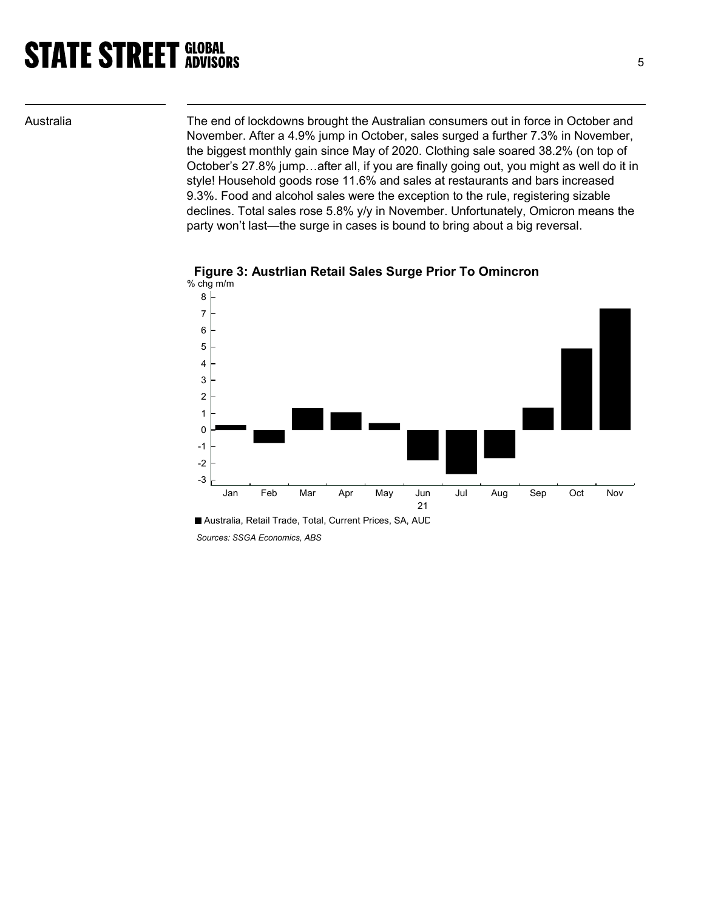Australia The end of lockdowns brought the Australian consumers out in force in October and November. After a 4.9% jump in October, sales surged a further 7.3% in November, the biggest monthly gain since May of 2020. Clothing sale soared 38.2% (on top of October's 27.8% jump…after all, if you are finally going out, you might as well do it in style! Household goods rose 11.6% and sales at restaurants and bars increased 9.3%. Food and alcohol sales were the exception to the rule, registering sizable declines. Total sales rose 5.8% y/y in November. Unfortunately, Omicron means the party won't last—the surge in cases is bound to bring about a big reversal.





Sources: SSGA Economics, ABS

Australia, Retail Trade, Total, Current Prices, SA, AUD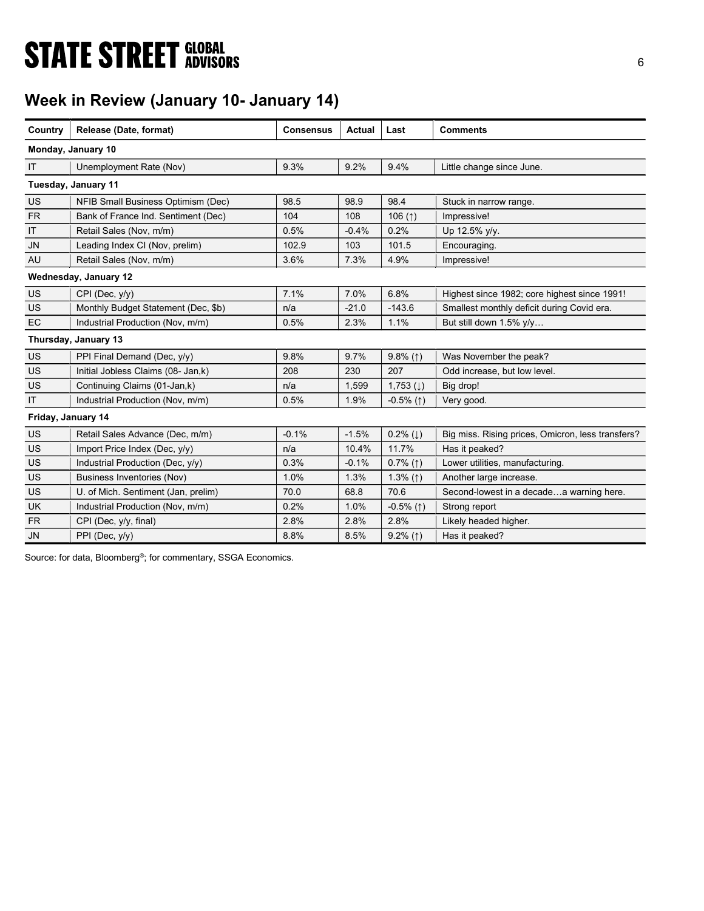# **STATE STREET GLOBAL STATE STREET GLOBAL**

## Week in Review (January 10- January 14)

| Country            | Release (Date, format)              | <b>Consensus</b> | Actual  | Last                     | <b>Comments</b>                                   |
|--------------------|-------------------------------------|------------------|---------|--------------------------|---------------------------------------------------|
|                    | Monday, January 10                  |                  |         |                          |                                                   |
| IT                 | Unemployment Rate (Nov)             | 9.3%             | 9.2%    | 9.4%                     | Little change since June.                         |
|                    | Tuesday, January 11                 |                  |         |                          |                                                   |
| <b>US</b>          | NFIB Small Business Optimism (Dec)  | 98.5             | 98.9    | 98.4                     | Stuck in narrow range.                            |
| <b>FR</b>          | Bank of France Ind. Sentiment (Dec) | 104              | 108     | 106 $($ 1)               | Impressive!                                       |
| IT                 | Retail Sales (Nov, m/m)             | 0.5%             | $-0.4%$ | 0.2%                     | Up 12.5% y/y.                                     |
| <b>JN</b>          | Leading Index CI (Nov, prelim)      | 102.9            | 103     | 101.5                    | Encouraging.                                      |
| AU                 | Retail Sales (Nov, m/m)             | 3.6%             | 7.3%    | 4.9%                     | Impressive!                                       |
|                    | Wednesday, January 12               |                  |         |                          |                                                   |
| US                 | CPI (Dec, y/y)                      | 7.1%             | 7.0%    | 6.8%                     | Highest since 1982; core highest since 1991!      |
| <b>US</b>          | Monthly Budget Statement (Dec, \$b) | n/a              | $-21.0$ | $-143.6$                 | Smallest monthly deficit during Covid era.        |
| <b>EC</b>          | Industrial Production (Nov, m/m)    | 0.5%             | 2.3%    | 1.1%                     | But still down 1.5% y/y                           |
|                    | Thursday, January 13                |                  |         |                          |                                                   |
| US                 | PPI Final Demand (Dec, y/y)         | 9.8%             | 9.7%    | $9.8\%$ (1)              | Was November the peak?                            |
| <b>US</b>          | Initial Jobless Claims (08- Jan,k)  | 208              | 230     | 207                      | Odd increase, but low level.                      |
| <b>US</b>          | Continuing Claims (01-Jan,k)        | n/a              | 1,599   | $1,753$ (1)              | Big drop!                                         |
| IT                 | Industrial Production (Nov, m/m)    | 0.5%             | 1.9%    | $-0.5\%$ (1)             | Very good.                                        |
| Friday, January 14 |                                     |                  |         |                          |                                                   |
| <b>US</b>          | Retail Sales Advance (Dec, m/m)     | $-0.1%$          | $-1.5%$ | $0.2\%$ ( $\downarrow$ ) | Big miss. Rising prices, Omicron, less transfers? |
| US                 | Import Price Index (Dec. y/y)       | n/a              | 10.4%   | 11.7%                    | Has it peaked?                                    |
| <b>US</b>          | Industrial Production (Dec. y/y)    | 0.3%             | $-0.1%$ | $0.7\%$ (1)              | Lower utilities, manufacturing.                   |
| US                 | Business Inventories (Nov)          | 1.0%             | 1.3%    | 1.3% $(1)$               | Another large increase.                           |
| <b>US</b>          | U. of Mich. Sentiment (Jan, prelim) | 70.0             | 68.8    | 70.6                     | Second-lowest in a decadea warning here.          |
| UK                 | Industrial Production (Nov, m/m)    | 0.2%             | 1.0%    | $-0.5\%$ (1)             | Strong report                                     |
| <b>FR</b>          | CPI (Dec, y/y, final)               | 2.8%             | 2.8%    | 2.8%                     | Likely headed higher.                             |
| <b>JN</b>          | PPI (Dec, y/y)                      | 8.8%             | 8.5%    | $9.2\%$ (1)              | Has it peaked?                                    |

Source: for data, Bloomberg<sup>®</sup>; for commentary, SSGA Economics.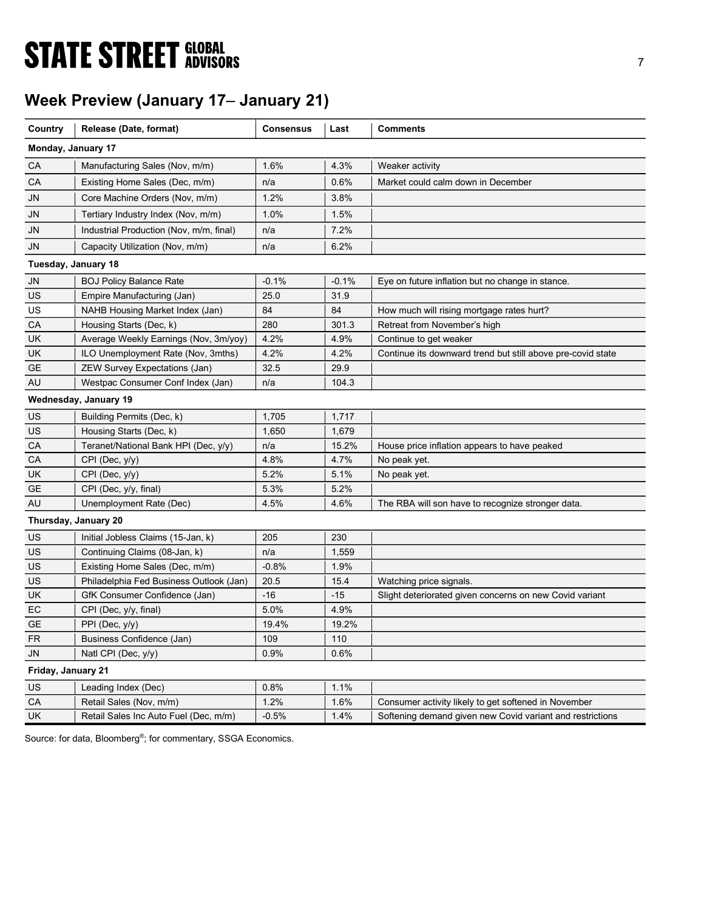# **STATE STREET GLOBAL STATE STREET GLOBAL**

## Week Preview (January 17– January 21)

| Country             | Release (Date, format)                  | <b>Consensus</b> | Last    | <b>Comments</b>                                             |
|---------------------|-----------------------------------------|------------------|---------|-------------------------------------------------------------|
| Monday, January 17  |                                         |                  |         |                                                             |
|                     |                                         |                  |         |                                                             |
| CA                  | Manufacturing Sales (Nov, m/m)          | 1.6%             | 4.3%    | Weaker activity                                             |
| СA                  | Existing Home Sales (Dec, m/m)          | n/a              | 0.6%    | Market could calm down in December                          |
| JN                  | Core Machine Orders (Nov, m/m)          | 1.2%             | 3.8%    |                                                             |
| JN                  | Tertiary Industry Index (Nov, m/m)      | 1.0%             | 1.5%    |                                                             |
| JN                  | Industrial Production (Nov, m/m, final) | n/a              | 7.2%    |                                                             |
| JN                  | Capacity Utilization (Nov, m/m)         | n/a              | 6.2%    |                                                             |
| Tuesday, January 18 |                                         |                  |         |                                                             |
| JN                  | <b>BOJ Policy Balance Rate</b>          | $-0.1%$          | $-0.1%$ | Eye on future inflation but no change in stance.            |
| US                  | Empire Manufacturing (Jan)              | 25.0             | 31.9    |                                                             |
| US                  | NAHB Housing Market Index (Jan)         | 84               | 84      | How much will rising mortgage rates hurt?                   |
| CA                  | Housing Starts (Dec, k)                 | 280              | 301.3   | Retreat from November's high                                |
| UK                  | Average Weekly Earnings (Nov, 3m/yoy)   | 4.2%             | 4.9%    | Continue to get weaker                                      |
| UK                  | ILO Unemployment Rate (Nov, 3mths)      | 4.2%             | 4.2%    | Continue its downward trend but still above pre-covid state |
| GE                  | ZEW Survey Expectations (Jan)           | 32.5             | 29.9    |                                                             |
| AU                  | Westpac Consumer Conf Index (Jan)       | n/a              | 104.3   |                                                             |
|                     | Wednesday, January 19                   |                  |         |                                                             |
| US                  | Building Permits (Dec, k)               | 1,705            | 1,717   |                                                             |
| US                  | Housing Starts (Dec, k)                 | 1,650            | 1,679   |                                                             |
| CA                  | Teranet/National Bank HPI (Dec, y/y)    | n/a              | 15.2%   | House price inflation appears to have peaked                |
| CA                  | CPI (Dec, y/y)                          | 4.8%             | 4.7%    | No peak yet.                                                |
| UK                  | CPI (Dec, y/y)                          | 5.2%             | 5.1%    | No peak yet.                                                |
| GE                  | CPI (Dec, y/y, final)                   | 5.3%             | 5.2%    |                                                             |
| AU                  | Unemployment Rate (Dec)                 | 4.5%             | 4.6%    | The RBA will son have to recognize stronger data.           |
|                     | Thursday, January 20                    |                  |         |                                                             |
| US                  | Initial Jobless Claims (15-Jan, k)      | 205              | 230     |                                                             |
| US                  | Continuing Claims (08-Jan, k)           | n/a              | 1,559   |                                                             |
| US                  | Existing Home Sales (Dec, m/m)          | $-0.8%$          | 1.9%    |                                                             |
| US                  | Philadelphia Fed Business Outlook (Jan) | 20.5             | 15.4    | Watching price signals.                                     |
| UK                  | GfK Consumer Confidence (Jan)           | $-16$            | $-15$   | Slight deteriorated given concerns on new Covid variant     |
| EC                  | CPI (Dec, y/y, final)                   | 5.0%             | 4.9%    |                                                             |
| <b>GE</b>           | PPI (Dec, y/y)                          | 19.4%            | 19.2%   |                                                             |
| <b>FR</b>           | Business Confidence (Jan)               | 109              | 110     |                                                             |
| <b>JN</b>           | Natl CPI (Dec, y/y)                     | 0.9%             | 0.6%    |                                                             |
| Friday, January 21  |                                         |                  |         |                                                             |
| US                  | Leading Index (Dec)                     | 0.8%             | 1.1%    |                                                             |
| CA                  | Retail Sales (Nov, m/m)                 | 1.2%             | 1.6%    | Consumer activity likely to get softened in November        |
| UK                  | Retail Sales Inc Auto Fuel (Dec, m/m)   | $-0.5%$          | 1.4%    | Softening demand given new Covid variant and restrictions   |

Source: for data, Bloomberg<sup>®</sup>; for commentary, SSGA Economics.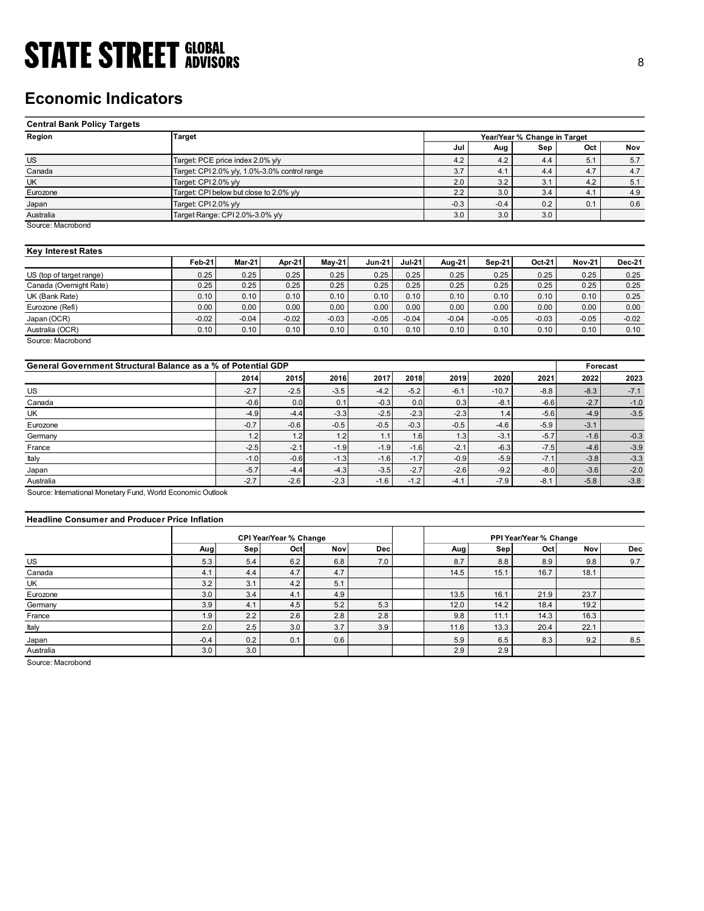## Economic Indicators

| <b>STATE STREET GLOBAL</b>                                    |                                               |                                         |         |               |          |          |               |               |                              |               |               |
|---------------------------------------------------------------|-----------------------------------------------|-----------------------------------------|---------|---------------|----------|----------|---------------|---------------|------------------------------|---------------|---------------|
|                                                               |                                               |                                         |         |               |          |          |               |               |                              |               | 8             |
|                                                               |                                               |                                         |         |               |          |          |               |               |                              |               |               |
|                                                               |                                               |                                         |         |               |          |          |               |               |                              |               |               |
| <b>Economic Indicators</b>                                    |                                               |                                         |         |               |          |          |               |               |                              |               |               |
|                                                               |                                               |                                         |         |               |          |          |               |               |                              |               |               |
| <b>Central Bank Policy Targets</b>                            |                                               |                                         |         |               |          |          |               |               |                              |               |               |
| Region                                                        | <b>Target</b>                                 |                                         |         |               |          |          |               |               | Year/Year % Change in Target |               |               |
|                                                               |                                               |                                         |         |               |          |          | Jul           | Aug           | Sep                          | Oct           | Nov           |
| $\overline{US}$                                               |                                               | Target: PCE price index 2.0% y/y        |         |               |          |          | 4.2           | 4.2           | 4.4                          | 5.1           | 5.7           |
| Canada                                                        | Target: CPI 2.0% y/y, 1.0%-3.0% control range |                                         |         |               |          |          | 3.7           | 4.1           | 4.4                          | 4.7           | $4.7\,$       |
| <b>UK</b>                                                     | Target: CPI 2.0% y/y                          |                                         |         |               |          |          | 2.0           | 3.2<br>3.0    | 3.1                          | 4.2<br>4.1    | 5.1           |
| Eurozone                                                      |                                               | Target: CPI below but close to 2.0% y/y |         |               |          |          | 2.2<br>$-0.3$ | $-0.4$        | 3.4<br>0.2                   | 0.1           | 4.9           |
| Japan                                                         | Target: CPI 2.0% y/y                          |                                         |         |               |          |          | 3.0           | 3.0           | 3.0                          |               | 0.6           |
| Australia<br>Source: Macrobond                                | Target Range: CPI 2.0%-3.0% y/y               |                                         |         |               |          |          |               |               |                              |               |               |
|                                                               |                                               |                                         |         |               |          |          |               |               |                              |               |               |
| <b>Key Interest Rates</b>                                     |                                               |                                         |         |               |          |          |               |               |                              |               |               |
|                                                               | Feb-21                                        | <b>Mar-21</b>                           | Apr-21  | <b>May-21</b> | $Jun-21$ | $Jul-21$ | Aug-21        | <b>Sep-21</b> | Oct-21                       | <b>Nov-21</b> | <b>Dec-21</b> |
| US (top of target range)                                      | 0.25                                          | 0.25                                    | 0.25    | 0.25          | 0.25     | 0.25     | 0.25          | 0.25          | 0.25                         | 0.25          | 0.25          |
| Canada (Overnight Rate)                                       | 0.25                                          | 0.25                                    | 0.25    | 0.25          | 0.25     | 0.25     | 0.25          | 0.25          | 0.25                         | 0.25          | 0.25          |
| UK (Bank Rate)                                                | 0.10                                          | 0.10                                    | 0.10    | 0.10          | 0.10     | 0.10     | 0.10          | 0.10          | 0.10                         | 0.10          | 0.25          |
| Eurozone (Refi)                                               | 0.00                                          | 0.00                                    | 0.00    | 0.00          | 0.00     | 0.00     | 0.00          | 0.00          | 0.00                         | 0.00          | 0.00          |
| Japan (OCR)                                                   | $-0.02$                                       | $-0.04$                                 | $-0.02$ | $-0.03$       | $-0.05$  | $-0.04$  | $-0.04$       | $-0.05$       | $-0.03$                      | $-0.05$       | $-0.02$       |
| Australia (OCR)                                               | 0.10                                          | 0.10                                    | 0.10    | 0.10          | 0.10     | 0.10     | 0.10          | 0.10          | 0.10                         | 0.10          | 0.10          |
| Source: Macrobond                                             |                                               |                                         |         |               |          |          |               |               |                              |               |               |
|                                                               |                                               |                                         |         |               |          |          |               |               |                              |               |               |
| General Government Structural Balance as a % of Potential GDP |                                               |                                         |         |               |          |          |               |               |                              | Forecast      |               |
|                                                               |                                               | 2014                                    | 2015    | 2016          | 2017     | 2018     | 2019          | 2020          | 2021                         | 2022          | 2023          |
| <b>US</b>                                                     |                                               | $-2.7$                                  | $-2.5$  | $-3.5$        | $-4.2$   | $-5.2$   | $-6.1$        | $-10.7$       | $-8.8$                       | $-8.3$        | $-7.1$        |
| Canada                                                        |                                               | $-0.6$                                  | 0.0     | 0.1           | $-0.3$   | 0.0      | 0.3           | $-8.1$        | $-6.6$                       | $-2.7$        | $-1.0$        |
| UK                                                            |                                               | $-4.9$                                  | $-4.4$  | $-3.3$        | $-2.5$   | $-2.3$   | $-2.3$        | 1.4           | $-5.6$                       | $-4.9$        | $-3.5$        |
| Eurozone                                                      |                                               | $-0.7$                                  | $-0.6$  | $-0.5$        | $-0.5$   | $-0.3$   | $-0.5$        | $-4.6$        | $-5.9$                       | $-3.1$        |               |
| Germany                                                       |                                               | 1.2                                     | 1.2     | 1.2           | 1.1      | 1.6      | 1.3           | $-3.1$        | $-5.7$                       | $-1.6$        | $-0.3$        |
| France                                                        |                                               | $-2.5$                                  | $-2.1$  | $-1.9$        | $-1.9$   | $-1.6$   | $-2.1$        | $-6.3$        | $-7.5$                       | $-4.6$        | $-3.9$        |

### Key Interest Rates

|                          | <b>Feb-21</b> | Mar-21  | Apr-21  | $Mav-21$ | <b>Jun-21</b> | <b>Jul-21</b> | Aug-21  | Sep-21  | Oct-21  | <b>Nov-21</b> | Dec-21  |
|--------------------------|---------------|---------|---------|----------|---------------|---------------|---------|---------|---------|---------------|---------|
| US (top of target range) | 0.25          | 0.25    | 0.25    | 0.25     | 0.25          | 0.25          | 0.25    | 0.25    | 0.25    | 0.25          | 0.25    |
| Canada (Overnight Rate)  | 0.25          | 0.25    | 0.25    | 0.25     | 0.25          | 0.25          | 0.25    | 0.25    | 0.25    | 0.25          | 0.25    |
| UK (Bank Rate)           | 0.10          | 0.10    | 0.10    | 0.10     | 0.10          | 0.10          | 0.10    | 0.10    | 0.10    | 0.10          | 0.25    |
| Eurozone (Refi)          | 0.00          | 0.00    | 0.00    | 0.00     | 0.00          | 0.00          | 0.00    | 0.00    | 0.00    | 0.00          | 0.00    |
| Japan (OCR)              | $-0.02$       | $-0.04$ | $-0.02$ | $-0.03$  | $-0.05$       | $-0.04$       | $-0.04$ | $-0.05$ | $-0.03$ | $-0.05$       | $-0.02$ |
| Australia (OCR)          | 0.10          | 0.10    | 0.10    | 0.10     | 0.10          | 0.10          | 0.10    | 0.10    | 0.10    | 0.10          | 0.10    |
| Source: Macrobond        |               |         |         |          |               |               |         |         |         |               |         |

| <b>Economic Indicators</b>                                    |                                 |                                               |                               |            |               |          |         |         |                              |               |               |
|---------------------------------------------------------------|---------------------------------|-----------------------------------------------|-------------------------------|------------|---------------|----------|---------|---------|------------------------------|---------------|---------------|
| <b>Central Bank Policy Targets</b>                            |                                 |                                               |                               |            |               |          |         |         |                              |               |               |
| Region                                                        | <b>Target</b>                   |                                               |                               |            |               |          |         |         | Year/Year % Change in Target |               |               |
|                                                               |                                 |                                               |                               |            |               |          | Jul     | Aug     | Sep                          | Oct           | Nov           |
| <b>US</b>                                                     |                                 | Target: PCE price index 2.0% y/y              |                               |            |               |          | 4.2     | 4.2     | 4.4                          | 5.1           | 5.7           |
| Canada                                                        |                                 | Target: CPI 2.0% y/y, 1.0%-3.0% control range |                               |            |               |          | 3.7     | 4.1     | 4.4                          | 4.7           | 4.7           |
| UK                                                            | Target: CPI 2.0% y/y            |                                               |                               |            |               |          | 2.0     | 3.2     | 3.1                          | 4.2           | 5.1           |
| Eurozone                                                      |                                 | Target: CPI below but close to 2.0% y/y       |                               |            |               |          | 2.2     | 3.0     | 3.4                          | 4.1           | 4.9           |
| Japan                                                         | Target: CPI 2.0% y/y            |                                               |                               |            |               |          | $-0.3$  | $-0.4$  | 0.2                          | 0.1           | 0.6           |
| Australia                                                     | Target Range: CPI 2.0%-3.0% y/y |                                               |                               |            |               |          | 3.0     | 3.0     | $3.0\,$                      |               |               |
| Source: Macrobond                                             |                                 |                                               |                               |            |               |          |         |         |                              |               |               |
| <b>Key Interest Rates</b>                                     | Feb-21                          | Mar-21                                        | Apr-21                        | May-21     | <b>Jun-21</b> | $Jul-21$ | Aug-21  | Sep-21  | Oct-21                       | <b>Nov-21</b> | <b>Dec-21</b> |
|                                                               | 0.25                            | 0.25                                          | 0.25                          | 0.25       | 0.25          | 0.25     | 0.25    | 0.25    | 0.25                         | 0.25          | 0.25          |
| US (top of target range)<br>Canada (Overnight Rate)           | 0.25                            | 0.25                                          | 0.25                          | 0.25       | 0.25          | 0.25     | 0.25    | 0.25    | 0.25                         | 0.25          | 0.25          |
| UK (Bank Rate)                                                | 0.10                            | 0.10                                          | 0.10                          | 0.10       | 0.10          | 0.10     | 0.10    | 0.10    | 0.10                         | 0.10          | 0.25          |
| Eurozone (Refi)                                               | 0.00                            | 0.00                                          | 0.00                          | 0.00       | 0.00          | 0.00     | 0.00    | 0.00    | 0.00                         | 0.00          | 0.00          |
| Japan (OCR)                                                   | $-0.02$                         | $-0.04$                                       | $-0.02$                       | $-0.03$    | $-0.05$       | $-0.04$  | $-0.04$ | $-0.05$ | $-0.03$                      | $-0.05$       | $-0.02$       |
| Australia (OCR)                                               | 0.10                            | 0.10                                          | 0.10                          | 0.10       | 0.10          | 0.10     | 0.10    | 0.10    | 0.10                         | 0.10          | 0.10          |
| General Government Structural Balance as a % of Potential GDP |                                 |                                               |                               |            |               |          |         |         |                              | Forecast      |               |
|                                                               |                                 | 2014                                          | 2015                          | 2016       | 2017          | 2018     | 2019    | 2020    | 2021                         | 2022          | 2023          |
| US                                                            |                                 | $-2.7$                                        | $-2.5$                        | $-3.5$     | $-4.2$        | $-5.2$   | $-6.1$  | $-10.7$ | $-8.8$                       | $-8.3$        | $-7.1$        |
| Canada                                                        |                                 | $-0.6$                                        | 0.0                           | 0.1        | $-0.3$        | 0.0      | 0.3     | $-8.1$  | $-6.6$                       | $-2.7$        | $-1.0$        |
| UK                                                            |                                 | $-4.9$                                        | $-4.4$                        | $-3.3$     | $-2.5$        | $-2.3$   | $-2.3$  | 1.4     | $-5.6$                       | $-4.9$        | $-3.5$        |
| Eurozone                                                      |                                 | $-0.7$                                        | $-0.6$                        | $-0.5$     | $-0.5$        | $-0.3$   | $-0.5$  | $-4.6$  | $-5.9$                       | $-3.1$        |               |
| Germany                                                       |                                 | 1.2                                           | 1.2                           | 1.2        | 1.1           | 1.6      | 1.3     | $-3.1$  | $-5.7$                       | $-1.6$        | $-0.3$        |
| France                                                        |                                 | $-2.5$                                        | $-2.1$                        | $-1.9$     | $-1.9$        | $-1.6$   | $-2.1$  | $-6.3$  | $-7.5$                       | $-4.6$        | $-3.9$        |
| Italy                                                         |                                 | $-1.0$                                        | $-0.6$                        | $-1.3$     | $-1.6$        | $-1.7$   | $-0.9$  | $-5.9$  | $-7.1$                       | $-3.8$        | $-3.3$        |
| Japan                                                         |                                 | $-5.7$                                        | $-4.4$                        | $-4.3$     | $-3.5$        | $-2.7$   | $-2.6$  | $-9.2$  | $-8.0$                       | $-3.6$        | $-2.0$        |
| Australia                                                     |                                 | $-2.7$                                        | $-2.6$                        | $-2.3$     | $-1.6$        | $-1.2$   | $-4.1$  | $-7.9$  | $-8.1$                       | $-5.8$        | $-3.8$        |
| Source: International Monetary Fund, World Economic Outlook   |                                 |                                               |                               |            |               |          |         |         |                              |               |               |
| <b>Headline Consumer and Producer Price Inflation</b>         |                                 |                                               |                               |            |               |          |         |         |                              |               |               |
|                                                               |                                 |                                               | <b>CPI Year/Year % Change</b> |            |               |          |         |         | PPI Year/Year % Change       |               |               |
|                                                               | Aug                             | Sep                                           | Oct                           | <b>Nov</b> | <b>Dec</b>    |          | Aug     | Sep     | Oct                          | Nov           | Dec           |
| US                                                            | 5.3                             | 5.4                                           | 6.2                           | 6.8        | 7.0           |          | 8.7     | 8.8     | 8.9                          | 9.8           | 9.7           |
| Canada                                                        | 4.1                             | 4.4                                           | 4.7                           | 4.7        |               |          | 14.5    | 15.1    | 16.7                         | 18.1          |               |
| UK                                                            | 3.2                             | 3.1                                           | 4.2                           | 5.1        |               |          |         |         |                              |               |               |
| Eurozone                                                      | 3.0                             | 3.4                                           | 4.1                           | 4.9        |               |          | 13.5    | 16.1    | 21.9                         | 23.7          |               |
| Germany                                                       | 3.9                             | 4.1                                           | 4.5                           | 5.2        | 5.3           |          | 12.0    | 14.2    | 18.4                         | 19.2          |               |
| France                                                        | 1.9                             | 2.2                                           | 2.6                           | 2.8        | 2.8           |          | 9.8     | 11.1    | 14.3                         | 16.3          |               |
|                                                               |                                 |                                               |                               |            |               |          |         |         |                              |               |               |

### Headline Consumer and Producer Price Inflation

|                                                       | 2014       | General Government Structural Balance as a % of Potential GDP |        |            |        |            |            |                        | Forecast |            |
|-------------------------------------------------------|------------|---------------------------------------------------------------|--------|------------|--------|------------|------------|------------------------|----------|------------|
|                                                       |            | 2015                                                          | 2016   | 2017       | 2018   | 2019       | 2020       | 2021                   | 2022     | 2023       |
|                                                       | $-2.7$     | $-2.5$                                                        | $-3.5$ | $-4.2$     | $-5.2$ | $-6.1$     | $-10.7$    | $-8.8$                 | $-8.3$   | $-7.1$     |
|                                                       | $-0.6$     | 0.0                                                           | 0.1    | $-0.3$     | 0.0    | 0.3        | $-8.1$     | $-6.6$                 | $-2.7$   | $-1.0$     |
|                                                       | $-4.9$     | $-4.4$                                                        | $-3.3$ | $-2.5$     | $-2.3$ | $-2.3$     | 1.4        | $-5.6$                 | $-4.9$   | $-3.5$     |
|                                                       | $-0.7$     | $-0.6$                                                        | $-0.5$ | $-0.5$     | $-0.3$ | $-0.5$     | $-4.6$     | $-5.9$                 | $-3.1$   |            |
|                                                       | 1.2        | 1.2                                                           | 1.2    | 1.1        | 1.6    | 1.3        | $-3.1$     | $-5.7$                 | $-1.6$   | $-0.3$     |
|                                                       | $-2.5$     | $-2.1$                                                        | $-1.9$ | $-1.9$     | $-1.6$ | $-2.1$     | $-6.3$     | $-7.5$                 | $-4.6$   | $-3.9$     |
|                                                       | $-1.0$     | $-0.6$                                                        | $-1.3$ | $-1.6$     | $-1.7$ | $-0.9$     | $-5.9$     | $-7.1$                 | $-3.8$   | $-3.3$     |
|                                                       | $-5.7$     | $-4.4$                                                        | $-4.3$ | $-3.5$     | $-2.7$ | $-2.6$     | $-9.2$     | $-8.0$                 | $-3.6$   | $-2.0$     |
|                                                       | $-2.7$     | $-2.6$                                                        | $-2.3$ | $-1.6$     | $-1.2$ | $-4.1$     | $-7.9$     | $-8.1$                 | $-5.8$   | $-3.8$     |
| <b>Headline Consumer and Producer Price Inflation</b> |            |                                                               |        |            |        |            |            |                        |          |            |
|                                                       |            | <b>CPI Year/Year % Change</b>                                 |        |            |        |            |            | PPI Year/Year % Change |          |            |
| Aug                                                   | Sep        | Oct                                                           | Nov    | <b>Dec</b> |        | Aug        | Sep        | Oct                    | Nov      | <b>Dec</b> |
| 5.3                                                   | 5.4        | 6.2                                                           | 6.8    | 7.0        |        | 8.7        | 8.8        | 8.9                    | 9.8      | 9.7        |
| 4.1                                                   | 4.4        | 4.7                                                           | 4.7    |            |        | 14.5       | 15.1       | 16.7                   | 18.1     |            |
| 3.2                                                   | 3.1        | 4.2                                                           | 5.1    |            |        |            |            |                        |          |            |
| 3.0                                                   | 3.4        | 4.1                                                           | 4.9    |            |        | 13.5       | 16.1       | 21.9                   | 23.7     |            |
| 3.9                                                   | 4.1        | 4.5                                                           | 5.2    | 5.3        |        | 12.0       | 14.2       | 18.4                   | 19.2     |            |
| 1.9                                                   | 2.2        | 2.6                                                           | 2.8    | 2.8        |        | 9.8        | 11.1       | 14.3                   | 16.3     |            |
| 2.0                                                   | 2.5        | 3.0                                                           | 3.7    | 3.9        |        | 11.6       | 13.3       | 20.4                   | 22.1     |            |
| $-0.4$<br>3.0                                         | 0.2<br>3.0 | 0.1                                                           | 0.6    |            |        | 5.9<br>2.9 | 6.5<br>2.9 | 8.3                    | 9.2      | 8.5        |
|                                                       |            | Source: International Monetary Fund, World Economic Outlook   |        |            |        |            |            |                        |          |            |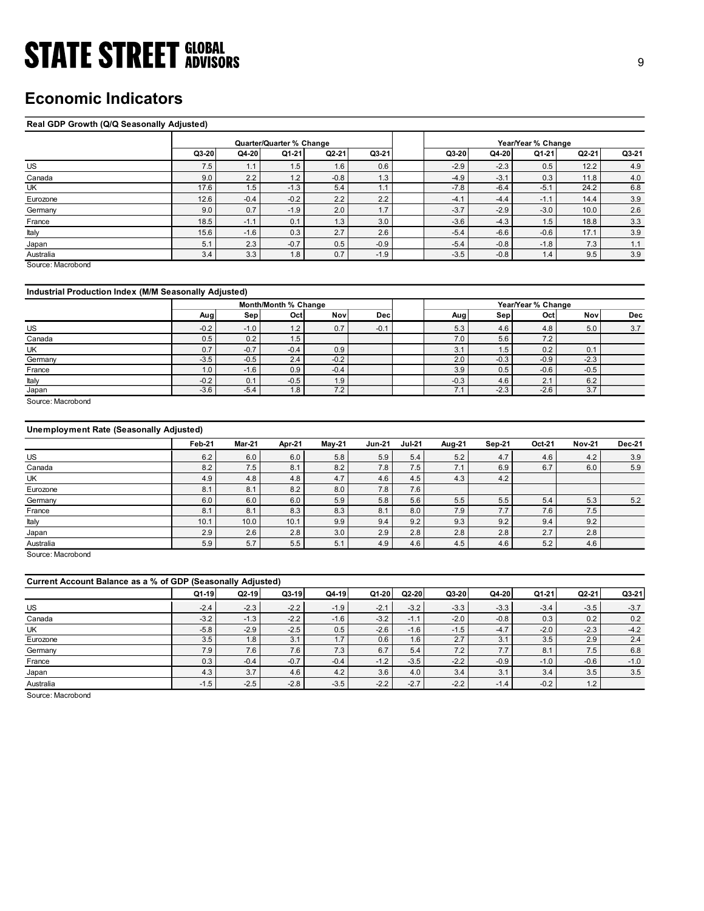## Economic Indicators

### Real GDP Growth (Q/Q Seasonally Adjusted)

| <b>STATE STREET GLOBAL</b>                            |               |                          |                      |               |               |                                |                |                    |                |        |
|-------------------------------------------------------|---------------|--------------------------|----------------------|---------------|---------------|--------------------------------|----------------|--------------------|----------------|--------|
|                                                       |               |                          |                      |               |               |                                |                |                    |                | 9      |
|                                                       |               |                          |                      |               |               |                                |                |                    |                |        |
|                                                       |               |                          |                      |               |               |                                |                |                    |                |        |
| <b>Economic Indicators</b>                            |               |                          |                      |               |               |                                |                |                    |                |        |
|                                                       |               |                          |                      |               |               |                                |                |                    |                |        |
| Real GDP Growth (Q/Q Seasonally Adjusted)             |               |                          |                      |               |               |                                |                |                    |                |        |
|                                                       |               | Quarter/Quarter % Change |                      |               |               |                                |                | Year/Year % Change |                |        |
|                                                       | Q3-20         | Q4-20                    | Q1-21                | Q2-21         | Q3-21         | Q3-20                          | Q4-20          | Q1-21              | $Q2-21$        | Q3-21  |
| US                                                    | 7.5           | 1.1                      | 1.5                  | 1.6           | 0.6           | $-2.9$                         | $-2.3$         | 0.5                | 12.2           | 4.9    |
| Canada                                                | 9.0           | 2.2                      | 1.2                  | $-0.8$        | 1.3           | $-4.9$                         | $-3.1$         | 0.3                | 11.8           | 4.0    |
| UK                                                    | 17.6          | 1.5                      | $-1.3$               | 5.4           | 1.1           | $-7.8$                         | $-6.4$         | $-5.1$             | 24.2           | 6.8    |
| Eurozone                                              | 12.6          | $-0.4$                   | $-0.2$               | 2.2           | 2.2           | $-4.1$                         | $-4.4$         | $-1.1$             | 14.4           | 3.9    |
| Germany                                               | 9.0           | 0.7                      | $-1.9$               | 2.0           | 1.7           | $-3.7$                         | $-2.9$         | $-3.0$             | 10.0           | 2.6    |
| France                                                | 18.5          | $-1.1$                   | 0.1                  | 1.3           | 3.0           | $-3.6$                         | $-4.3$         | 1.5                | 18.8           | 3.3    |
| Italy                                                 | 15.6          | $-1.6$                   | 0.3                  | 2.7           | 2.6           | $-5.4$                         | $-6.6$         | $-0.6$             | 17.1           | 3.9    |
| Japan                                                 | 5.1           | 2.3                      | $-0.7$               | 0.5           | $-0.9$        | $-5.4$                         | $-0.8$         | $-1.8$             | 7.3            | 1.1    |
| Australia                                             | 3.4           | 3.3                      | 1.8                  | 0.7           | $-1.9$        | $-3.5$                         | $-0.8$         | 1.4                | 9.5            | 3.9    |
| Source: Macrobond                                     |               |                          |                      |               |               |                                |                |                    |                |        |
|                                                       |               |                          |                      |               |               |                                |                |                    |                |        |
| Industrial Production Index (M/M Seasonally Adjusted) |               |                          |                      |               |               |                                |                |                    |                |        |
|                                                       |               |                          | Month/Month % Change |               |               |                                |                | Year/Year % Change |                |        |
|                                                       | Aug           | Sep                      | Oct                  | Nov           | Dec           | Aug                            | Sep            | Oct                | Nov            | Dec    |
| <b>US</b>                                             | $-0.2$        | $-1.0$                   | 1.2                  | 0.7           | $-0.1$        | 5.3                            | 4.6            | 4.8                | 5.0            | 3.7    |
| Canada                                                | 0.5<br>0.7    | 0.2<br>$-0.7$            | 1.5<br>$-0.4$        | 0.9           |               | 7.0<br>3.1                     | 5.6<br>1.5     | 7.2<br>0.2         | 0.1            |        |
|                                                       |               |                          | 2.4                  | $-0.2$        |               | 2.0                            | $-0.3$         | $-0.9$             | $-2.3$         |        |
| UK                                                    |               |                          |                      |               |               | 3.9                            | $0.5\,$        | $-0.6$             | $-0.5$         |        |
| Germany<br>France                                     | $-3.5$<br>1.0 | $-0.5$<br>$-1.6$         | 0.9                  | $-0.4$        |               |                                |                |                    |                |        |
| Italy                                                 | $-0.2$        | 0.1                      | $-0.5$               | 1.9           |               | $-0.3$                         | $4.6\,$        | 2.1                | $6.2\,$        |        |
| Japan                                                 | $-3.6$        | $-5.4$                   | 1.8                  | 7.2           |               | 7.1                            | $-2.3$         | $-2.6$             | 3.7            |        |
| Source: Macrobond                                     |               |                          |                      |               |               |                                |                |                    |                |        |
|                                                       |               |                          |                      |               |               |                                |                |                    |                |        |
| Unemployment Rate (Seasonally Adjusted)               |               |                          |                      |               |               |                                |                |                    |                |        |
|                                                       |               |                          |                      |               |               |                                |                |                    |                |        |
|                                                       | <b>Feb-21</b> | <b>Mar-21</b>            | Apr-21               | <b>May-21</b> | <b>Jun-21</b> | <b>Jul-21</b><br><b>Aug-21</b> | <b>Sep-21</b>  | Oct-21             | <b>Nov-21</b>  | Dec-21 |
| US                                                    | 6.2           | 6.0<br>7.5               | 6.0                  | 5.8           | $5.9\,$       | $5.2\,$<br>5.4                 | 4.7            | 4.6<br>6.7         | $4.2\,$<br>6.0 | 3.9    |
| Canada<br>UK                                          | 8.2<br>$4.9$  | 4.8                      | 8.1<br>$4.8\,$       | 8.2<br>4.7    | 7.8<br>4.6    | 7.5<br>7.1<br>4.3<br>4.5       | 6.9<br>$4.2\,$ |                    |                | 5.9    |
| Eurozone                                              | 8.1           | 8.1                      | 8.2                  | $8.0\,$       | 7.8           | 7.6                            |                |                    |                |        |
| Germany                                               | 6.0           | 6.0                      | 6.0                  | $5.9\,$       | 5.8           | $5.5\,$<br>5.6                 | 5.5            | 5.4                | 5.3            | $5.2$  |
| France<br>Italy                                       | 8.1<br>10.1   | 8.1<br>10.0              | 8.3<br>10.1          | 8.3<br>9.9    | 8.1<br>9.4    | 7.9<br>8.0<br>9.3<br>9.2       | 7.7<br>9.2     | 7.6<br>$9.4\,$     | 7.5<br>9.2     |        |

### Industrial Production Index (M/M Seasonally Adjusted)

|         |                  |        | Month/Month % Change |        |            |        |        | Year/Year % Change          |        |            |
|---------|------------------|--------|----------------------|--------|------------|--------|--------|-----------------------------|--------|------------|
|         | Aug              | Sep    | Octl                 | Novl   | <b>Dec</b> | Aug    | Sepl   | Octl                        | Nov    | <b>Dec</b> |
| US      | $-0.2$           | $-1.0$ | 1.2                  | 0.7    | $-0.1$     | 5.3    | 4.6    | 4.8                         | 5.0    | 3.7        |
| Canada  | 0.5              | 0.2    | 1.5                  |        |            | 7.0    | 5.6    | 7.2                         |        |            |
| UK      | 0.7              | $-0.7$ | $-0.4$               | 0.9    |            | 3.1    | 1.5    | 0.2                         | 0.1    |            |
| Germany | $-3.5$           | $-0.5$ | 2.4                  | $-0.2$ |            | 2.0    | $-0.3$ | $-0.9$                      | $-2.3$ |            |
| France  | 1.0 <sub>1</sub> | $-1.6$ | 0.9                  | $-0.4$ |            | 3.9    | 0.5    | $-0.6$                      | $-0.5$ |            |
| Italy   | $-0.2$           | 0.1    | $-0.5$               | 1.9    |            | $-0.3$ | 4.6    | $\Omega$<br>$\mathcal{L}$ . | 6.2    |            |
| Japan   | $-3.6$           | $-5.4$ | 1.8                  | 7.2    |            | 7.1    | $-2.3$ | $-2.6$                      | 3.7    |            |

### Unemployment Rate (Seasonally Adjusted)

| US                                                          | 7.5    | 1.1    | 1.5                  | 1.6           | 0.6           |               | $-2.9$ | $-2.3$        | U.5                | 12.2          | 4.9           |
|-------------------------------------------------------------|--------|--------|----------------------|---------------|---------------|---------------|--------|---------------|--------------------|---------------|---------------|
| Canada                                                      | 9.0    | 2.2    | 1.2                  | $-0.8$        | 1.3           |               | $-4.9$ | $-3.1$        | 0.3                | 11.8          | 4.0           |
| UK                                                          | 17.6   | 1.5    | $-1.3$               | 5.4           | 1.1           |               | $-7.8$ | $-6.4$        | $-5.1$             | 24.2          | 6.8           |
| Eurozone                                                    | 12.6   | $-0.4$ | $-0.2$               | $2.2\,$       | 2.2           |               | $-4.1$ | $-4.4$        | $-1.1$             | 14.4          | 3.9           |
| Germany                                                     | 9.0    | 0.7    | $-1.9$               | 2.0           | 1.7           |               | $-3.7$ | $-2.9$        | $-3.0$             | 10.0          | 2.6           |
| France                                                      | 18.5   | $-1.1$ | 0.1                  | 1.3           | 3.0           |               | $-3.6$ | $-4.3$        | 1.5                | 18.8          | 3.3           |
| Italy                                                       | 15.6   | $-1.6$ | 0.3                  | 2.7           | 2.6           |               | $-5.4$ | $-6.6$        | $-0.6$             | 17.1          | 3.9           |
| Japan                                                       | 5.1    | 2.3    | $-0.7$               | 0.5           | $-0.9$        |               | $-5.4$ | $-0.8$        | $-1.8$             | 7.3           | 1.1           |
| Australia                                                   | 3.4    | 3.3    | 1.8                  | 0.7           | $-1.9$        |               | $-3.5$ | $-0.8$        | 1.4                | 9.5           | 3.9           |
| Source: Macrobond                                           |        |        |                      |               |               |               |        |               |                    |               |               |
| Industrial Production Index (M/M Seasonally Adjusted)       |        |        |                      |               |               |               |        |               |                    |               |               |
|                                                             |        |        | Month/Month % Change |               |               |               |        |               | Year/Year % Change |               |               |
|                                                             | Aug    | Sep    | Oct                  | <b>Nov</b>    | Dec           |               | Aug    | Sep           | Oct                | Nov           | Dec           |
|                                                             |        |        |                      |               |               |               |        |               |                    |               |               |
| US                                                          | $-0.2$ | $-1.0$ | 1.2                  | 0.7           | $-0.1$        |               | 5.3    | 4.6           | 4.8                | 5.0           | 3.7           |
| Canada                                                      | 0.5    | 0.2    | 1.5                  |               |               |               | 7.0    | 5.6           | $7.2$              |               |               |
| UK                                                          | 0.7    | $-0.7$ | $-0.4$               | 0.9           |               |               | 3.1    | 1.5           | 0.2                | 0.1           |               |
| Germany                                                     | $-3.5$ | $-0.5$ | 2.4                  | $-0.2$        |               |               | 2.0    | $-0.3$        | $-0.9$             | $-2.3$        |               |
| France                                                      | 1.0    | $-1.6$ | 0.9                  | $-0.4$        |               |               | 3.9    | 0.5           | $-0.6$             | $-0.5$        |               |
| Italy                                                       | $-0.2$ | 0.1    | $-0.5$               | 1.9           |               |               | $-0.3$ | 4.6           | 2.1                | 6.2           |               |
| Japan<br>Source: Macrobond                                  | $-3.6$ | $-5.4$ | 1.8                  | 7.2           |               |               | 7.1    | $-2.3$        | $-2.6$             | 3.7           |               |
| <b>Unemployment Rate (Seasonally Adjusted)</b>              | Feb-21 | Mar-21 | Apr-21               | <b>May-21</b> | <b>Jun-21</b> | <b>Jul-21</b> | Aug-21 | <b>Sep-21</b> | Oct-21             | <b>Nov-21</b> | <b>Dec-21</b> |
|                                                             |        |        |                      |               |               |               |        |               |                    |               |               |
| US                                                          | 6.2    | 6.0    | 6.0                  | 5.8           | 5.9           | 5.4<br>7.5    | 5.2    | 4.7           | 4.6                | 4.2           | 3.9           |
| Canada                                                      | 8.2    | 7.5    | 8.1                  | 8.2           | 7.8           |               | 7.1    | 6.9           | 6.7                | 6.0           | 5.9           |
| UK                                                          | 4.9    | 4.8    | 4.8                  | 4.7           | 4.6           | 4.5           | 4.3    | 4.2           |                    |               |               |
| Eurozone                                                    | 8.1    | 8.1    | 8.2                  | 8.0           | 7.8           | 7.6           |        |               |                    |               |               |
| Germany                                                     | 6.0    | 6.0    | 6.0                  | 5.9           | 5.8           | 5.6           | 5.5    | 5.5           | 5.4                | 5.3           | 5.2           |
| France                                                      | 8.1    | 8.1    | 8.3                  | 8.3           | 8.1           | 8.0           | 7.9    | 7.7           | 7.6                | 7.5           |               |
| Italy                                                       | 10.1   | 10.0   | 10.1                 | 9.9           | 9.4           | 9.2           | 9.3    | 9.2           | 9.4                | 9.2           |               |
| Japan                                                       | 2.9    | 2.6    | 2.8                  | 3.0           | 2.9           | 2.8           | 2.8    | 2.8           | 2.7                | 2.8           |               |
| Australia                                                   | 5.9    | 5.7    | 5.5                  | 5.1           | 4.9           | 4.6           | 4.5    | 4.6           | 5.2                | 4.6           |               |
| Source: Macrobond                                           |        |        |                      |               |               |               |        |               |                    |               |               |
| Current Account Balance as a % of GDP (Seasonally Adjusted) |        |        |                      |               |               |               |        |               |                    |               |               |
|                                                             | Q1-19  | Q2-19  | $Q3-19$              | $Q4-19$       | $Q1-20$       | $Q2-20$       | Q3-20  | $Q4-20$       | $Q1-21$            | Q2-21         | $Q3-21$       |
| US                                                          | $-2.4$ | $-2.3$ | $-2.2$               | $-1.9$        | $-2.1$        | $-3.2$        | $-3.3$ | $-3.3$        | $-3.4$             | $-3.5$        | $-3.7$        |
| Canada                                                      | $-3.2$ | $-1.3$ | $-2.2$               | $-1.6$        | $-3.2$        | $-1.1$        | $-2.0$ | $-0.8$        | 0.3                | 0.2           | 0.2           |
| UK                                                          | $-5.8$ | $-2.9$ | $-2.5$               | 0.5           | $-2.6$        | $-1.6$        | $-1.5$ | $-4.7$        | $-2.0$             | $-2.3$        | $-4.2$        |
| Eurozone                                                    | 3.5    | 1.8    | 3.1                  | 1.7           | 0.6           | 1.6           | 2.7    | 3.1           | 3.5                | 2.9           | 2.4           |
| Germany                                                     | 7.9    | 7.6    | 7.6                  | 7.3           | 6.7           | $5.4\,$       | 7.2    | 7.7           | 8.1                | 7.5           | 6.8           |
| France                                                      | 0.3    | $-0.4$ | $-0.7$               | $-0.4$        | $-1.2$        | $-3.5$        | $-2.2$ | $-0.9$        | $-1.0$             | $-0.6$        | $-1.0$        |
|                                                             | 4.3    | 3.7    | 4.6                  | 4.2           | 3.6           | 4.0           | 3.4    | 3.1           | 3.4                | 3.5           | $3.5\,$       |
| Japan                                                       |        |        |                      |               |               |               |        |               |                    |               |               |

|                                                                                                                                          |               |            | 1.2           | 0.7        |               |                 |            |               |               |               |               |
|------------------------------------------------------------------------------------------------------------------------------------------|---------------|------------|---------------|------------|---------------|-----------------|------------|---------------|---------------|---------------|---------------|
| US                                                                                                                                       | $-0.2$        | $-1.0$     |               |            | $-0.1$        |                 | 5.3        | 4.6           | 4.8           | 5.0           | 3.7           |
| Canada                                                                                                                                   | 0.5           | 0.2        | 1.5           |            |               |                 | 7.0        | 5.6           | 7.2           |               |               |
| UK                                                                                                                                       | $0.7\,$       | $-0.7$     | $-0.4$        | 0.9        |               |                 | 3.1        | 1.5           | 0.2           | 0.1           |               |
| Germany                                                                                                                                  | $-3.5$        | $-0.5$     | 2.4           | $-0.2$     |               |                 | 2.0        | $-0.3$        | $-0.9$        | $-2.3$        |               |
| France                                                                                                                                   | 1.0           | $-1.6$     | 0.9           | $-0.4$     |               |                 | 3.9        | 0.5           | $-0.6$        | $-0.5$        |               |
| Italy                                                                                                                                    | $-0.2$        | 0.1        | $-0.5$        | 1.9        |               |                 | $-0.3$     | 4.6           | 2.1           | 6.2           |               |
| Japan                                                                                                                                    | $-3.6$        | $-5.4$     | 1.8           | 7.2        |               |                 | 7.1        | $-2.3$        | $-2.6$        | 3.7           |               |
| Source: Macrobond                                                                                                                        |               |            |               |            |               |                 |            |               |               |               |               |
| <b>Unemployment Rate (Seasonally Adjusted)</b>                                                                                           |               |            |               |            |               |                 |            |               |               |               |               |
|                                                                                                                                          | Feb-21        | Mar-21     | Apr-21        | May-21     | <b>Jun-21</b> | <b>Jul-21</b>   | Aug-21     | Sep-21        | Oct-21        | <b>Nov-21</b> | <b>Dec-21</b> |
| US                                                                                                                                       | 6.2           | 6.0        | 6.0           | 5.8        | 5.9           | 5.4             | $5.2$      | 4.7           | 4.6           | 4.2           | 3.9           |
| Canada                                                                                                                                   | 8.2           | 7.5        | 8.1           | 8.2        | 7.8           | 7.5             | 7.1        | 6.9           | 6.7           | 6.0           | 5.9           |
| UK                                                                                                                                       | 4.9           | 4.8        | 4.8           | 4.7        | 4.6           | 4.5             | 4.3        | 4.2           |               |               |               |
| Eurozone                                                                                                                                 | 8.1           | 8.1        | 8.2           | 8.0        | 7.8           | $7.6$           |            |               |               |               |               |
| Germany                                                                                                                                  | $6.0\,$       | 6.0        | $6.0\,$       | 5.9        | 5.8           | 5.6             | 5.5        | 5.5           | 5.4           | 5.3           | $5.2\,$       |
| France                                                                                                                                   | 8.1           | 8.1        | 8.3           | 8.3        | 8.1           | 8.0             | 7.9        | 7.7           | 7.6           | 7.5           |               |
|                                                                                                                                          |               |            |               |            |               |                 |            |               |               |               |               |
|                                                                                                                                          |               |            |               |            |               |                 |            |               |               |               |               |
|                                                                                                                                          | 10.1          | 10.0       | 10.1          | 9.9        | 9.4           | 9.2             | 9.3        | 9.2           | 9.4           | 9.2           |               |
|                                                                                                                                          | 2.9<br>5.9    | 2.6<br>5.7 | 2.8<br>5.5    | 3.0<br>5.1 | 2.9<br>4.9    | 2.8<br>4.6      | 2.8<br>4.5 | 2.8<br>4.6    | 2.7<br>5.2    | 2.8<br>4.6    |               |
| Italy<br>Japan<br>Australia<br>Source: Macrobond                                                                                         |               |            |               |            |               |                 |            |               |               |               |               |
|                                                                                                                                          |               |            |               |            |               |                 |            |               |               |               |               |
|                                                                                                                                          | $Q1-19$       | $Q2-19$    | $Q3-19$       | Q4-19      | Q1-20         | Q2-20           | Q3-20      | Q4-20         | Q1-21         | Q2-21         | Q3-21         |
|                                                                                                                                          | $-2.4$        | $-2.3$     | $-2.2$        | $-1.9$     | $-2.1$        | $-3.2$          | $-3.3$     | $-3.3$        | $-3.4$        | $-3.5$        | $-3.7$        |
|                                                                                                                                          | $-3.2$        | $-1.3$     | $-2.2$        | $-1.6$     | $-3.2$        | $-1.1$          | $-2.0$     | $-0.8$        | 0.3           | 0.2           | 0.2           |
|                                                                                                                                          |               | $-2.9$     |               |            | $-2.6$        |                 | $-1.5$     |               |               | $-2.3$        |               |
|                                                                                                                                          | $-5.8$<br>3.5 | 1.8        | $-2.5$<br>3.1 | 0.5<br>1.7 | 0.6           | $-1.6$<br>1.6   | 2.7        | $-4.7$<br>3.1 | $-2.0$<br>3.5 | 2.9           | $-4.2$<br>2.4 |
|                                                                                                                                          | 7.9           | 7.6        | 7.6           | 7.3        | 6.7           | 5.4             | 7.2        | 7.7           | 8.1           | $7.5\,$       | 6.8           |
|                                                                                                                                          | 0.3           | $-0.4$     | $-0.7$        | $-0.4$     | $-1.2$        | $-3.5$          | $-2.2$     | $-0.9$        | $-1.0$        | $-0.6$        | $-1.0$        |
|                                                                                                                                          | 4.3           | 3.7        | 4.6           | 4.2        | 3.6           |                 | 3.4        | 3.1           | 3.4           | 3.5           | 3.5           |
| Current Account Balance as a % of GDP (Seasonally Adjusted)<br>US<br>Canada<br>UK<br>Eurozone<br>Germany<br>France<br>Japan<br>Australia | $-1.5$        | $-2.5$     | $-2.8$        | $-3.5$     | $-2.2$        | $4.0$<br>$-2.7$ | $-2.2$     | $-1.4$        | $-0.2$        | 1.2           |               |